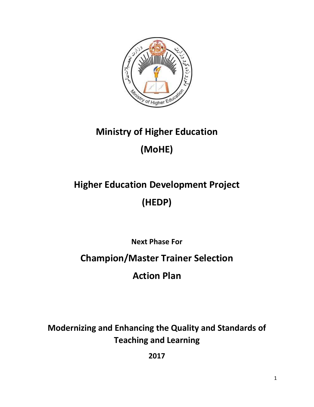

## **Ministry of Higher Education (MoHE)**

# **Higher Education Development Project (HEDP)**

**Next Phase For**

**Champion/Master Trainer Selection**

**Action Plan**

**Modernizing and Enhancing the Quality and Standards of Teaching and Learning**

**2017**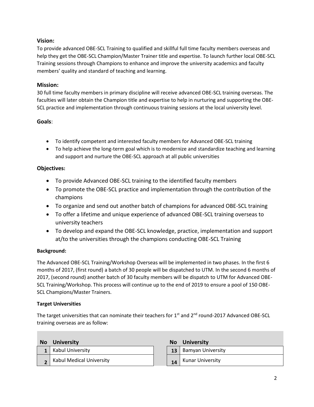## **Vision:**

To provide advanced OBE-SCL Training to qualified and skillful full time faculty members overseas and help they get the OBE-SCL Champion/Master Trainer title and expertise. To launch further local OBE-SCL Training sessions through Champions to enhance and improve the university academics and faculty members' quality and standard of teaching and learning.

## **Mission:**

30 full time faculty members in primary discipline will receive advanced OBE-SCL training overseas. The faculties will later obtain the Champion title and expertise to help in nurturing and supporting the OBE-SCL practice and implementation through continuous training sessions at the local university level.

## **Goals**:

- To identify competent and interested faculty members for Advanced OBE-SCL training
- To help achieve the long-term goal which is to modernize and standardize teaching and learning and support and nurture the OBE-SCL approach at all public universities

## **Objectives:**

- To provide Advanced OBE-SCL training to the identified faculty members
- To promote the OBE-SCL practice and implementation through the contribution of the champions
- To organize and send out another batch of champions for advanced OBE-SCL training
- To offer a lifetime and unique experience of advanced OBE-SCL training overseas to university teachers
- To develop and expand the OBE-SCL knowledge, practice, implementation and support at/to the universities through the champions conducting OBE-SCL Training

## **Background:**

The Advanced OBE-SCL Training/Workshop Overseas will be implemented in two phases. In the first 6 months of 2017, (first round) a batch of 30 people will be dispatched to UTM. In the second 6 months of 2017, (second round) another batch of 30 faculty members will be dispatch to UTM for Advanced OBE-SCL Training/Workshop. This process will continue up to the end of 2019 to ensure a pool of 150 OBE-SCL Champions/Master Trainers.

## **Target Universities**

The target universities that can nominate their teachers for  $1<sup>st</sup>$  and  $2<sup>nd</sup>$  round-2017 Advanced OBE-SCL training overseas are as follow:

| <b>No</b> | <b>University</b>               | <b>No</b> | University              |
|-----------|---------------------------------|-----------|-------------------------|
|           | <b>Kabul University</b>         | 13        | Bamyan University       |
|           | <b>Kabul Medical University</b> | 14        | <b>Kunar University</b> |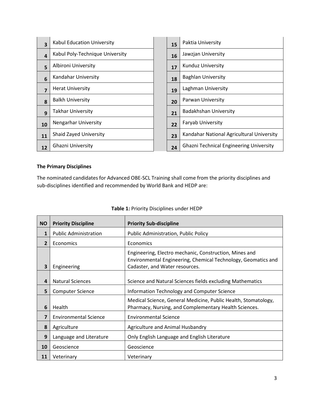| 3                | Kabul Education University      | 15 | Paktia University                              |
|------------------|---------------------------------|----|------------------------------------------------|
| $\boldsymbol{4}$ | Kabul Poly-Technique University | 16 | Jawzjan University                             |
| 5                | Albironi University             | 17 | <b>Kunduz University</b>                       |
| 6                | Kandahar University             | 18 | <b>Baghlan University</b>                      |
| $\overline{7}$   | <b>Herat University</b>         | 19 | Laghman University                             |
| 8                | <b>Balkh University</b>         | 20 | Parwan University                              |
| $\mathbf{q}$     | <b>Takhar University</b>        | 21 | <b>Badakhshan University</b>                   |
| 10               | <b>Nengarhar University</b>     | 22 | <b>Faryab University</b>                       |
| 11               | <b>Shaid Zayed University</b>   | 23 | Kandahar National Agricultural University      |
| 12               | <b>Ghazni University</b>        | 24 | <b>Ghazni Technical Engineering University</b> |

## **The Primary Disciplines**

The nominated candidates for Advanced OBE-SCL Training shall come from the priority disciplines and sub-disciplines identified and recommended by World Bank and HEDP are:

| <b>NO</b>      | <b>Priority Discipline</b>   | <b>Priority Sub-discipline</b>                                                                                                                            |  |
|----------------|------------------------------|-----------------------------------------------------------------------------------------------------------------------------------------------------------|--|
| $\mathbf{1}$   | <b>Public Administration</b> | <b>Public Administration, Public Policy</b>                                                                                                               |  |
| $\overline{2}$ | Economics                    | Economics                                                                                                                                                 |  |
| 3              | Engineering                  | Engineering, Electro mechanic, Construction, Mines and<br>Environmental Engineering, Chemical Technology, Geomatics and<br>Cadaster, and Water resources. |  |
| 4              | <b>Natural Sciences</b>      | Science and Natural Sciences fields excluding Mathematics                                                                                                 |  |
| 5              | <b>Computer Science</b>      | Information Technology and Computer Science                                                                                                               |  |
| 6              | Health                       | Medical Science, General Medicine, Public Health, Stomatology,<br>Pharmacy, Nursing, and Complementary Health Sciences.                                   |  |
| 7              | <b>Environmental Science</b> | <b>Environmental Science</b>                                                                                                                              |  |
| 8              | Agriculture                  | Agriculture and Animal Husbandry                                                                                                                          |  |
| 9              | Language and Literature      | Only English Language and English Literature                                                                                                              |  |
| 10             | Geoscience                   | Geoscience                                                                                                                                                |  |
| 11             | Veterinary                   | Veterinary                                                                                                                                                |  |

## **Table 1:** Priority Disciplines under HEDP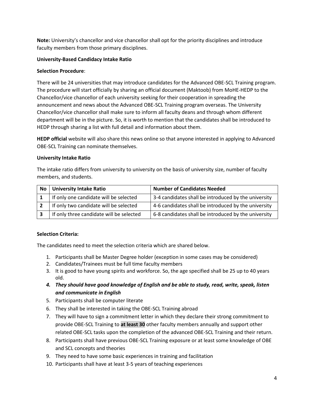**Note:** University's chancellor and vice chancellor shall opt for the priority disciplines and introduce faculty members from those primary disciplines.

#### **University-Based Candidacy Intake Ratio**

#### **Selection Procedure**:

There will be 24 universities that may introduce candidates for the Advanced OBE-SCL Training program. The procedure will start officially by sharing an official document (Maktoob) from MoHE-HEDP to the Chancellor/vice chancellor of each university seeking for their cooperation in spreading the announcement and news about the Advanced OBE-SCL Training program overseas. The University Chancellor/vice chancellor shall make sure to inform all faculty deans and through whom different department will be in the picture. So, it is worth to mention that the candidates shall be introduced to HEDP through sharing a list with full detail and information about them.

**HEDP official** website will also share this news online so that anyone interested in applying to Advanced OBE-SCL Training can nominate themselves.

#### **University Intake Ratio**

The intake ratio differs from university to university on the basis of university size, number of faculty members, and students.

| No | <b>University Intake Ratio</b>           | <b>Number of Candidates Needed</b>                   |
|----|------------------------------------------|------------------------------------------------------|
|    | If only one candidate will be selected   | 3-4 candidates shall be introduced by the university |
|    | If only two candidate will be selected   | 4-6 candidates shall be introduced by the university |
|    | If only three candidate will be selected | 6-8 candidates shall be introduced by the university |

## **Selection Criteria:**

The candidates need to meet the selection criteria which are shared below.

- 1. Participants shall be Master Degree holder (exception in some cases may be considered)
- 2. Candidates/Trainees must be full time faculty members
- 3. It is good to have young spirits and workforce. So, the age specified shall be 25 up to 40 years old.
- *4. They should have good knowledge of English and be able to study, read, write, speak, listen and communicate in English*
- 5. Participants shall be computer literate
- 6. They shall be interested in taking the OBE-SCL Training abroad
- 7. They will have to sign a commitment letter in which they declare their strong commitment to provide OBE-SCL Training to **at least 30** other faculty members annually and support other related OBE-SCL tasks upon the completion of the advanced OBE-SCL Training and their return.
- 8. Participants shall have previous OBE-SCL Training exposure or at least some knowledge of OBE and SCL concepts and theories
- 9. They need to have some basic experiences in training and facilitation
- 10. Participants shall have at least 3-5 years of teaching experiences